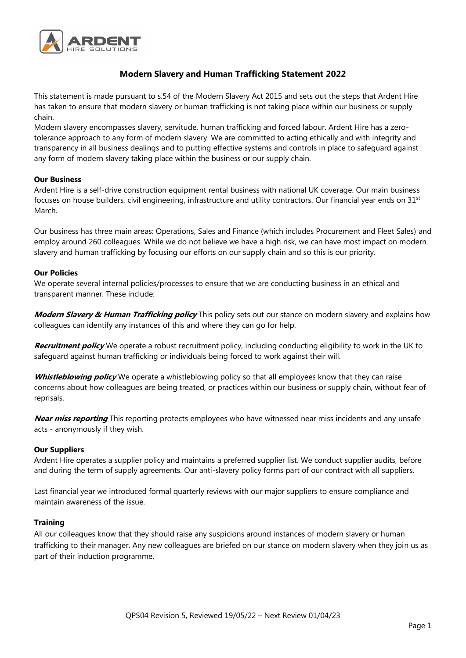

# **Modern Slavery and Human Trafficking Statement 2022**

This statement is made pursuant to s.54 of the Modern Slavery Act 2015 and sets out the steps that Ardent Hire has taken to ensure that modern slavery or human trafficking is not taking place within our business or supply chain.

Modern slavery encompasses slavery, servitude, human trafficking and forced labour. Ardent Hire has a zerotolerance approach to any form of modern slavery. We are committed to acting ethically and with integrity and transparency in all business dealings and to putting effective systems and controls in place to safeguard against any form of modern slavery taking place within the business or our supply chain.

## **Our Business**

Ardent Hire is a self-drive construction equipment rental business with national UK coverage. Our main business focuses on house builders, civil engineering, infrastructure and utility contractors. Our financial year ends on 31st March.

Our business has three main areas: Operations, Sales and Finance (which includes Procurement and Fleet Sales) and employ around 260 colleagues. While we do not believe we have a high risk, we can have most impact on modern slavery and human trafficking by focusing our efforts on our supply chain and so this is our priority.

## **Our Policies**

We operate several internal policies/processes to ensure that we are conducting business in an ethical and transparent manner. These include:

**Modern Slavery & Human Trafficking policy** This policy sets out our stance on modern slavery and explains how colleagues can identify any instances of this and where they can go for help.

**Recruitment policy** We operate a robust recruitment policy, including conducting eligibility to work in the UK to safeguard against human trafficking or individuals being forced to work against their will.

**Whistleblowing policy** We operate a whistleblowing policy so that all employees know that they can raise concerns about how colleagues are being treated, or practices within our business or supply chain, without fear of reprisals.

**Near miss reporting** This reporting protects employees who have witnessed near miss incidents and any unsafe acts - anonymously if they wish.

#### **Our Suppliers**

Ardent Hire operates a supplier policy and maintains a preferred supplier list. We conduct supplier audits, before and during the term of supply agreements. Our anti-slavery policy forms part of our contract with all suppliers.

Last financial year we introduced formal quarterly reviews with our major suppliers to ensure compliance and maintain awareness of the issue.

#### **Training**

All our colleagues know that they should raise any suspicions around instances of modern slavery or human trafficking to their manager. Any new colleagues are briefed on our stance on modern slavery when they join us as part of their induction programme.